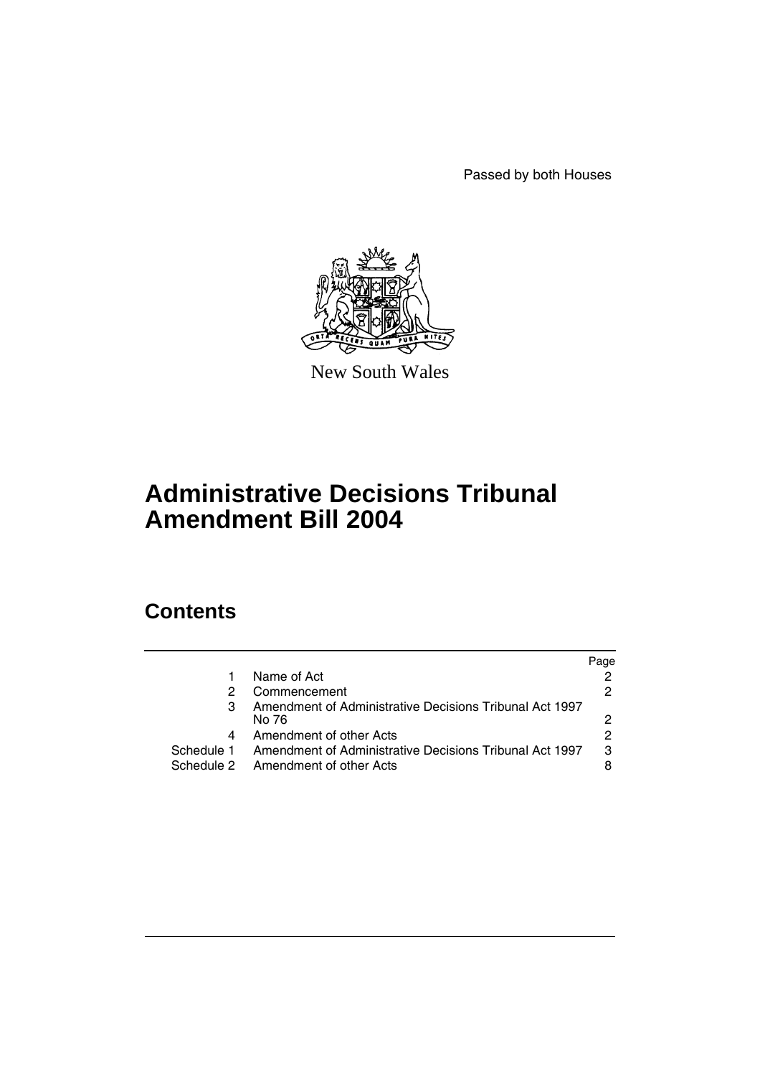Passed by both Houses



New South Wales

# **Administrative Decisions Tribunal Amendment Bill 2004**

# **Contents**

|            |                                                         | Page |
|------------|---------------------------------------------------------|------|
|            | Name of Act                                             | 2    |
| 2          | Commencement                                            | 2    |
| 3          | Amendment of Administrative Decisions Tribunal Act 1997 |      |
|            | No 76                                                   | 2    |
| 4          | Amendment of other Acts                                 | 2    |
| Schedule 1 | Amendment of Administrative Decisions Tribunal Act 1997 | 3    |
|            | Schedule 2 Amendment of other Acts                      | 8    |
|            |                                                         |      |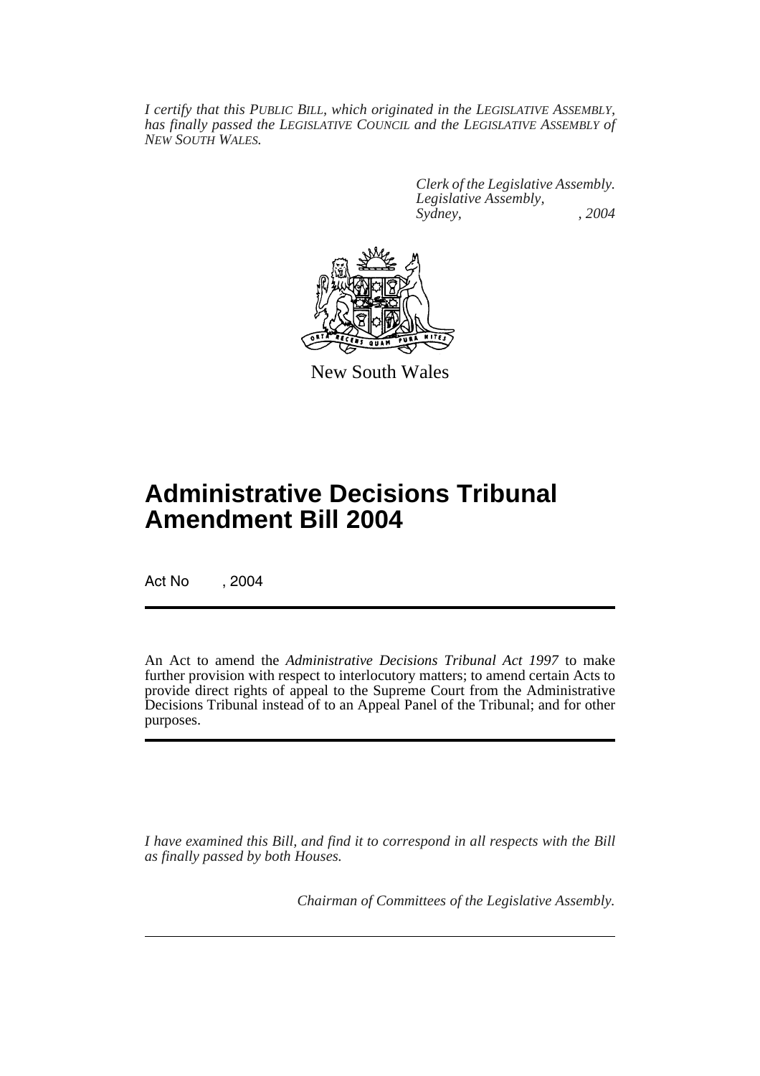*I certify that this PUBLIC BILL, which originated in the LEGISLATIVE ASSEMBLY, has finally passed the LEGISLATIVE COUNCIL and the LEGISLATIVE ASSEMBLY of NEW SOUTH WALES.*

> *Clerk of the Legislative Assembly. Legislative Assembly, Sydney, , 2004*



New South Wales

# **Administrative Decisions Tribunal Amendment Bill 2004**

Act No , 2004

An Act to amend the *Administrative Decisions Tribunal Act 1997* to make further provision with respect to interlocutory matters; to amend certain Acts to provide direct rights of appeal to the Supreme Court from the Administrative Decisions Tribunal instead of to an Appeal Panel of the Tribunal; and for other purposes.

*I have examined this Bill, and find it to correspond in all respects with the Bill as finally passed by both Houses.*

*Chairman of Committees of the Legislative Assembly.*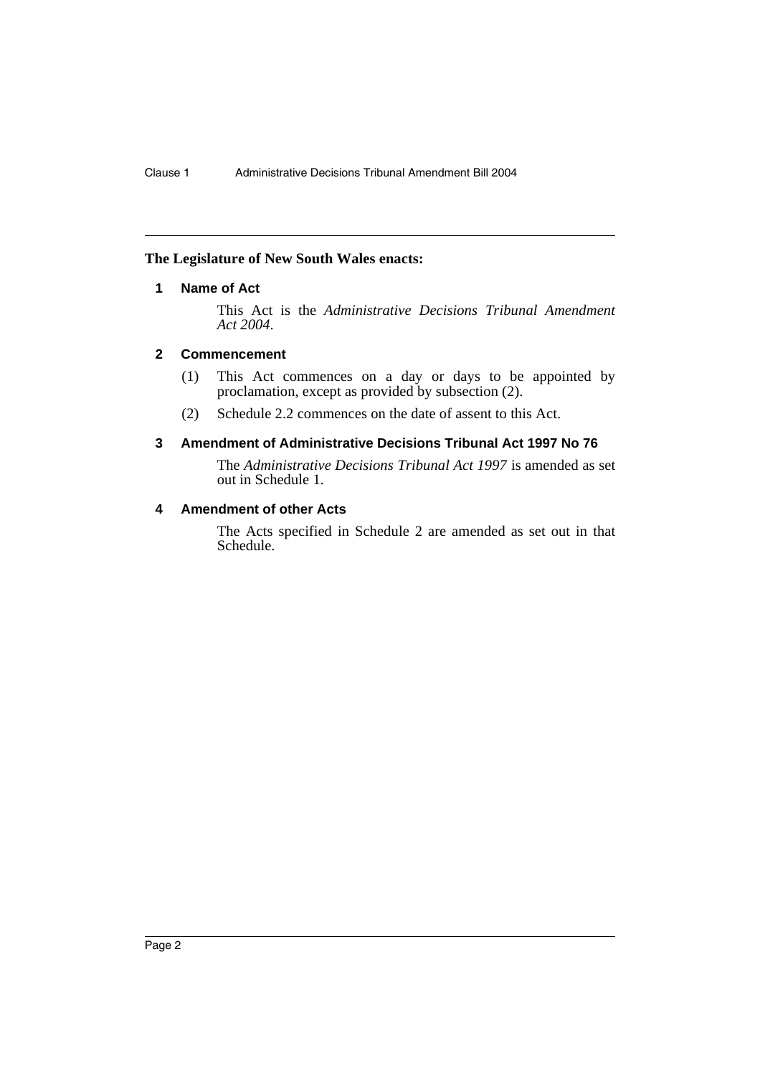#### **The Legislature of New South Wales enacts:**

# **1 Name of Act**

This Act is the *Administrative Decisions Tribunal Amendment Act 2004*.

## **2 Commencement**

- (1) This Act commences on a day or days to be appointed by proclamation, except as provided by subsection (2).
- (2) Schedule 2.2 commences on the date of assent to this Act.

## **3 Amendment of Administrative Decisions Tribunal Act 1997 No 76**

The *Administrative Decisions Tribunal Act 1997* is amended as set out in Schedule 1.

# **4 Amendment of other Acts**

The Acts specified in Schedule 2 are amended as set out in that Schedule.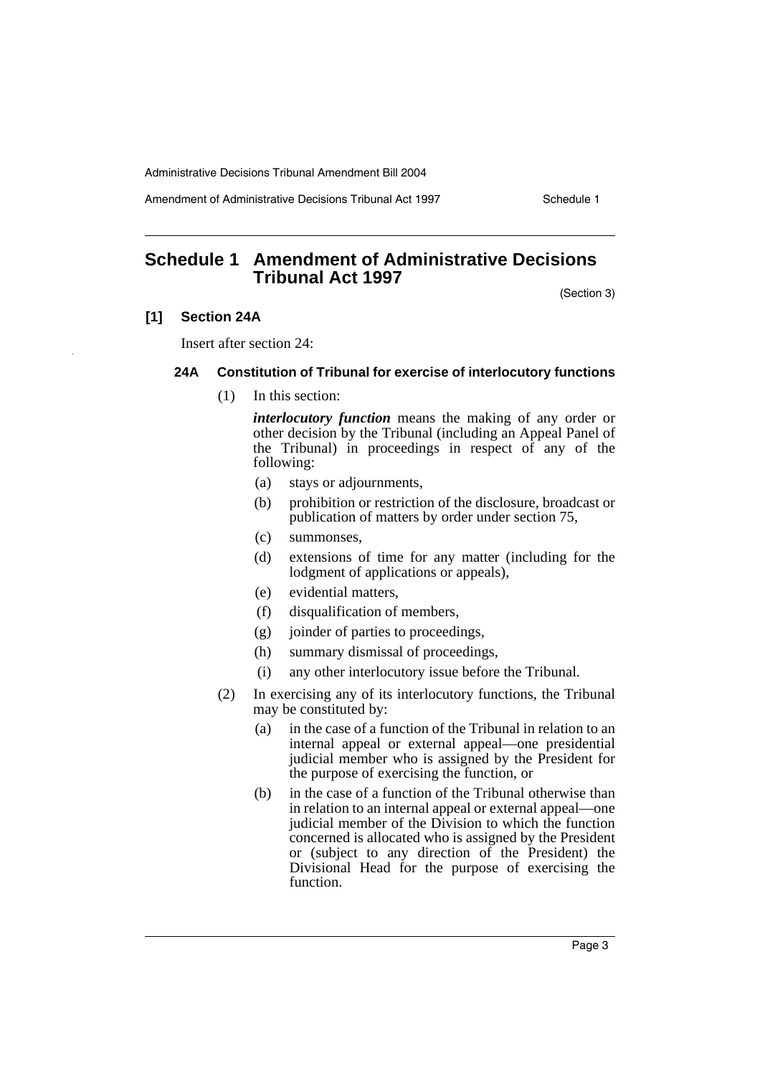Amendment of Administrative Decisions Tribunal Act 1997 Schedule 1

# **Schedule 1 Amendment of Administrative Decisions Tribunal Act 1997**

(Section 3)

#### **[1] Section 24A**

Insert after section 24:

#### **24A Constitution of Tribunal for exercise of interlocutory functions**

(1) In this section:

*interlocutory function* means the making of any order or other decision by the Tribunal (including an Appeal Panel of the Tribunal) in proceedings in respect of any of the following:

- (a) stays or adjournments,
- (b) prohibition or restriction of the disclosure, broadcast or publication of matters by order under section 75,
- (c) summonses,
- (d) extensions of time for any matter (including for the lodgment of applications or appeals),
- (e) evidential matters,
- (f) disqualification of members,
- (g) joinder of parties to proceedings,
- (h) summary dismissal of proceedings,
- (i) any other interlocutory issue before the Tribunal.
- (2) In exercising any of its interlocutory functions, the Tribunal may be constituted by:
	- (a) in the case of a function of the Tribunal in relation to an internal appeal or external appeal—one presidential judicial member who is assigned by the President for the purpose of exercising the function, or
	- (b) in the case of a function of the Tribunal otherwise than in relation to an internal appeal or external appeal—one judicial member of the Division to which the function concerned is allocated who is assigned by the President or (subject to any direction of the President) the Divisional Head for the purpose of exercising the function.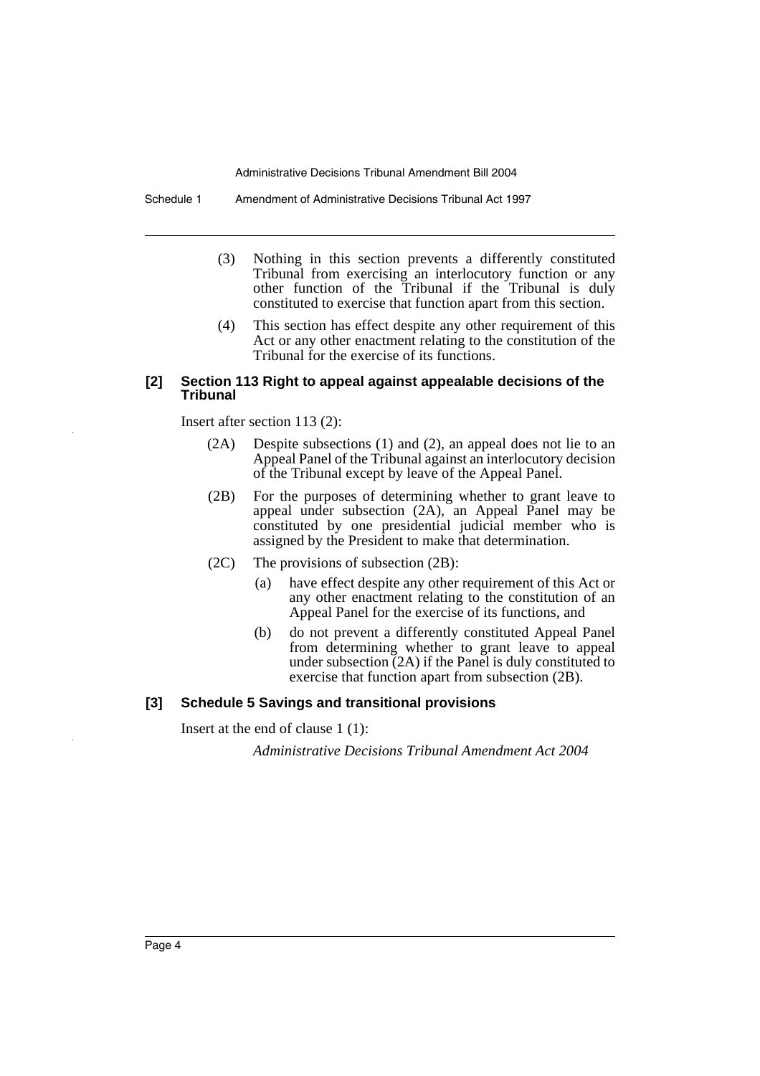Schedule 1 Amendment of Administrative Decisions Tribunal Act 1997

- (3) Nothing in this section prevents a differently constituted Tribunal from exercising an interlocutory function or any other function of the Tribunal if the Tribunal is duly constituted to exercise that function apart from this section.
- (4) This section has effect despite any other requirement of this Act or any other enactment relating to the constitution of the Tribunal for the exercise of its functions.

#### **[2] Section 113 Right to appeal against appealable decisions of the Tribunal**

Insert after section 113 (2):

- (2A) Despite subsections (1) and (2), an appeal does not lie to an Appeal Panel of the Tribunal against an interlocutory decision of the Tribunal except by leave of the Appeal Panel.
- (2B) For the purposes of determining whether to grant leave to appeal under subsection (2A), an Appeal Panel may be constituted by one presidential judicial member who is assigned by the President to make that determination.
- (2C) The provisions of subsection (2B):
	- (a) have effect despite any other requirement of this Act or any other enactment relating to the constitution of an Appeal Panel for the exercise of its functions, and
	- (b) do not prevent a differently constituted Appeal Panel from determining whether to grant leave to appeal under subsection (2A) if the Panel is duly constituted to exercise that function apart from subsection (2B).

#### **[3] Schedule 5 Savings and transitional provisions**

Insert at the end of clause 1 (1):

*Administrative Decisions Tribunal Amendment Act 2004*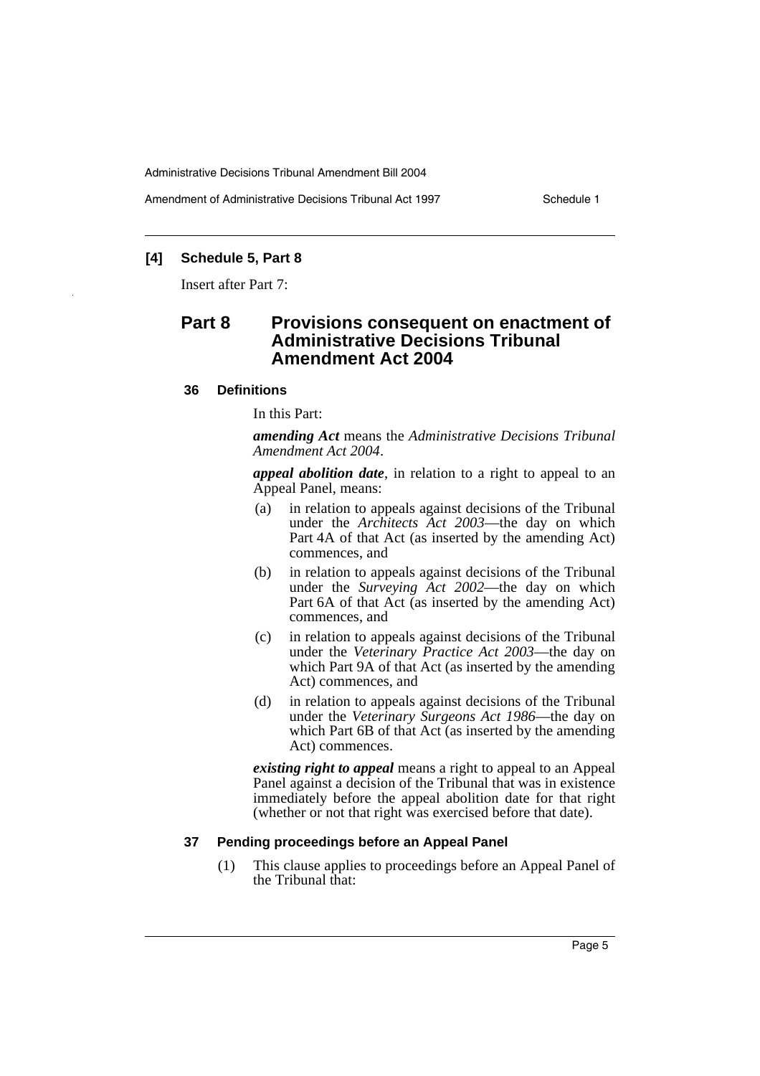Amendment of Administrative Decisions Tribunal Act 1997 Schedule 1

# **[4] Schedule 5, Part 8**

Insert after Part 7:

# **Part 8 Provisions consequent on enactment of Administrative Decisions Tribunal Amendment Act 2004**

#### **36 Definitions**

In this Part:

*amending Act* means the *Administrative Decisions Tribunal Amendment Act 2004*.

*appeal abolition date*, in relation to a right to appeal to an Appeal Panel, means:

- (a) in relation to appeals against decisions of the Tribunal under the *Architects Act 2003*—the day on which Part 4A of that Act (as inserted by the amending Act) commences, and
- (b) in relation to appeals against decisions of the Tribunal under the *Surveying Act 2002*—the day on which Part 6A of that Act (as inserted by the amending Act) commences, and
- (c) in relation to appeals against decisions of the Tribunal under the *Veterinary Practice Act 2003*—the day on which Part 9A of that Act (as inserted by the amending Act) commences, and
- (d) in relation to appeals against decisions of the Tribunal under the *Veterinary Surgeons Act 1986*—the day on which Part 6B of that Act (as inserted by the amending Act) commences.

*existing right to appeal* means a right to appeal to an Appeal Panel against a decision of the Tribunal that was in existence immediately before the appeal abolition date for that right (whether or not that right was exercised before that date).

#### **37 Pending proceedings before an Appeal Panel**

(1) This clause applies to proceedings before an Appeal Panel of the Tribunal that: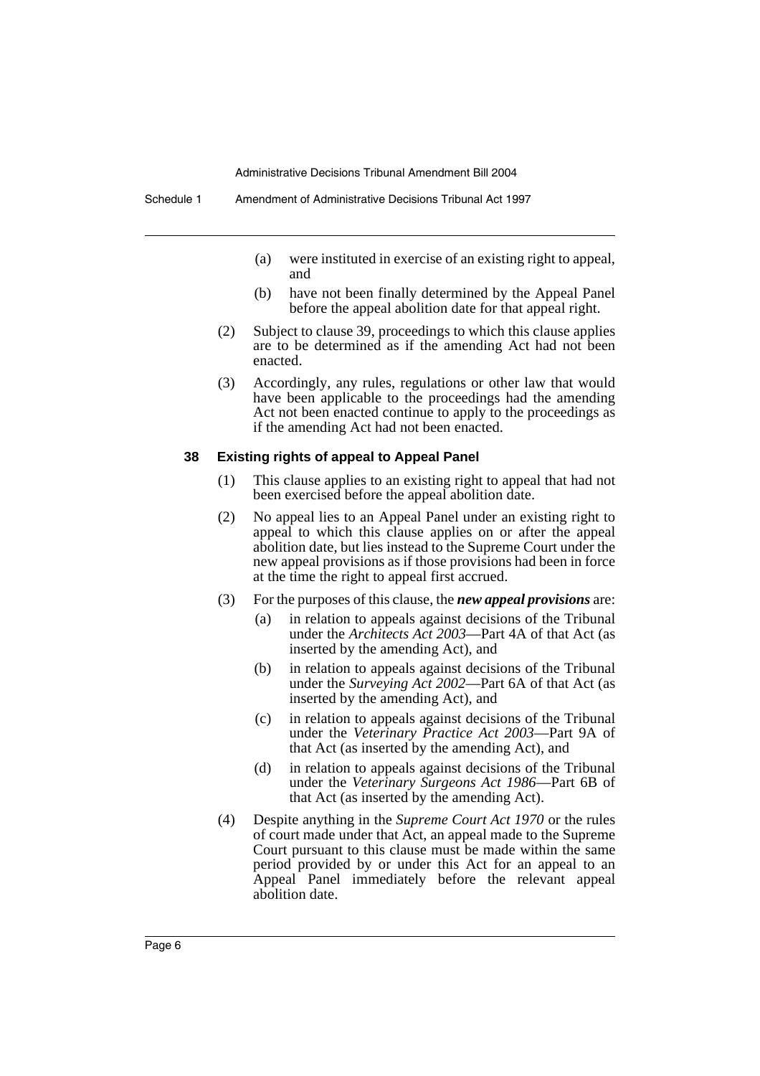- (a) were instituted in exercise of an existing right to appeal, and
- (b) have not been finally determined by the Appeal Panel before the appeal abolition date for that appeal right.
- (2) Subject to clause 39, proceedings to which this clause applies are to be determined as if the amending Act had not been enacted.
- (3) Accordingly, any rules, regulations or other law that would have been applicable to the proceedings had the amending Act not been enacted continue to apply to the proceedings as if the amending Act had not been enacted.

#### **38 Existing rights of appeal to Appeal Panel**

- (1) This clause applies to an existing right to appeal that had not been exercised before the appeal abolition date.
- (2) No appeal lies to an Appeal Panel under an existing right to appeal to which this clause applies on or after the appeal abolition date, but lies instead to the Supreme Court under the new appeal provisions as if those provisions had been in force at the time the right to appeal first accrued.
- (3) For the purposes of this clause, the *new appeal provisions* are:
	- (a) in relation to appeals against decisions of the Tribunal under the *Architects Act 2003*—Part 4A of that Act (as inserted by the amending Act), and
	- (b) in relation to appeals against decisions of the Tribunal under the *Surveying Act 2002*—Part 6A of that Act (as inserted by the amending Act), and
	- (c) in relation to appeals against decisions of the Tribunal under the *Veterinary Practice Act 2003*—Part 9A of that Act (as inserted by the amending Act), and
	- (d) in relation to appeals against decisions of the Tribunal under the *Veterinary Surgeons Act 1986*—Part 6B of that Act (as inserted by the amending Act).
- (4) Despite anything in the *Supreme Court Act 1970* or the rules of court made under that Act, an appeal made to the Supreme Court pursuant to this clause must be made within the same period provided by or under this Act for an appeal to an Appeal Panel immediately before the relevant appeal abolition date.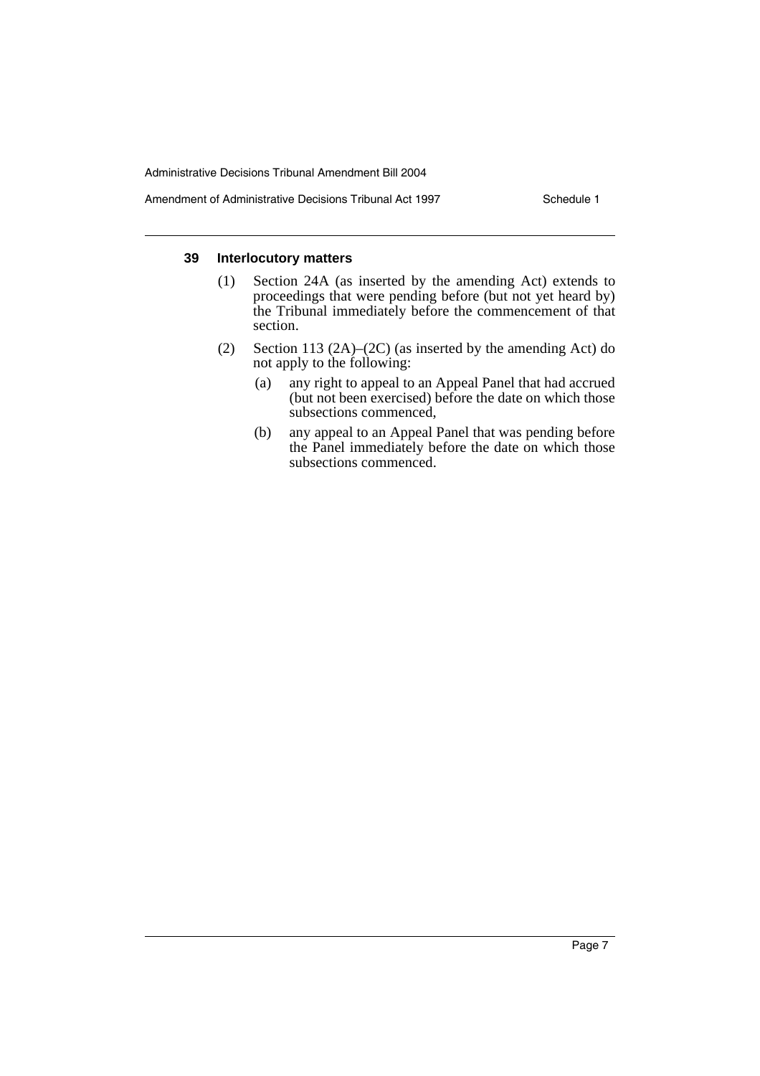#### Amendment of Administrative Decisions Tribunal Act 1997 Schedule 1

#### **39 Interlocutory matters**

- (1) Section 24A (as inserted by the amending Act) extends to proceedings that were pending before (but not yet heard by) the Tribunal immediately before the commencement of that section.
- (2) Section 113 (2A)–(2C) (as inserted by the amending Act) do not apply to the following:
	- (a) any right to appeal to an Appeal Panel that had accrued (but not been exercised) before the date on which those subsections commenced.
	- (b) any appeal to an Appeal Panel that was pending before the Panel immediately before the date on which those subsections commenced.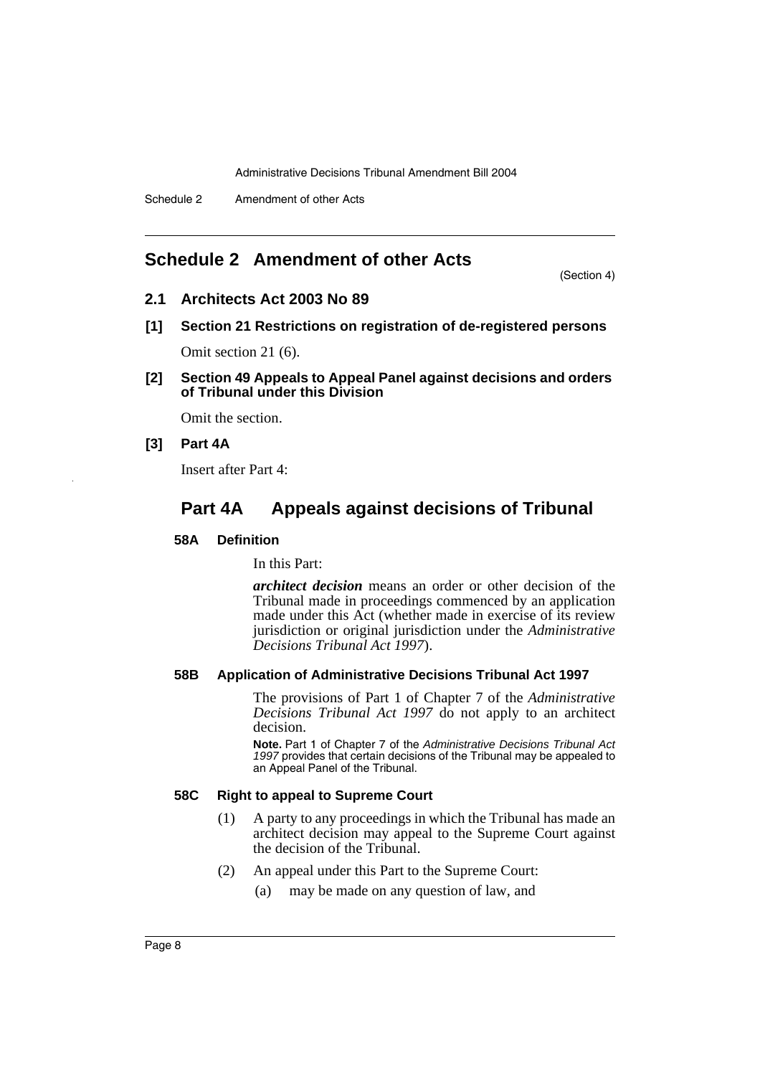# **Schedule 2 Amendment of other Acts**

(Section 4)

## **2.1 Architects Act 2003 No 89**

**[1] Section 21 Restrictions on registration of de-registered persons**

Omit section 21 (6).

**[2] Section 49 Appeals to Appeal Panel against decisions and orders of Tribunal under this Division**

Omit the section.

#### **[3] Part 4A**

Insert after Part 4:

# **Part 4A Appeals against decisions of Tribunal**

#### **58A Definition**

In this Part:

*architect decision* means an order or other decision of the Tribunal made in proceedings commenced by an application made under this Act (whether made in exercise of its review jurisdiction or original jurisdiction under the *Administrative Decisions Tribunal Act 1997*).

#### **58B Application of Administrative Decisions Tribunal Act 1997**

The provisions of Part 1 of Chapter 7 of the *Administrative Decisions Tribunal Act 1997* do not apply to an architect decision.

**Note.** Part 1 of Chapter 7 of the *Administrative Decisions Tribunal Act 1997* provides that certain decisions of the Tribunal may be appealed to an Appeal Panel of the Tribunal.

# **58C Right to appeal to Supreme Court**

- (1) A party to any proceedings in which the Tribunal has made an architect decision may appeal to the Supreme Court against the decision of the Tribunal.
- (2) An appeal under this Part to the Supreme Court:
	- (a) may be made on any question of law, and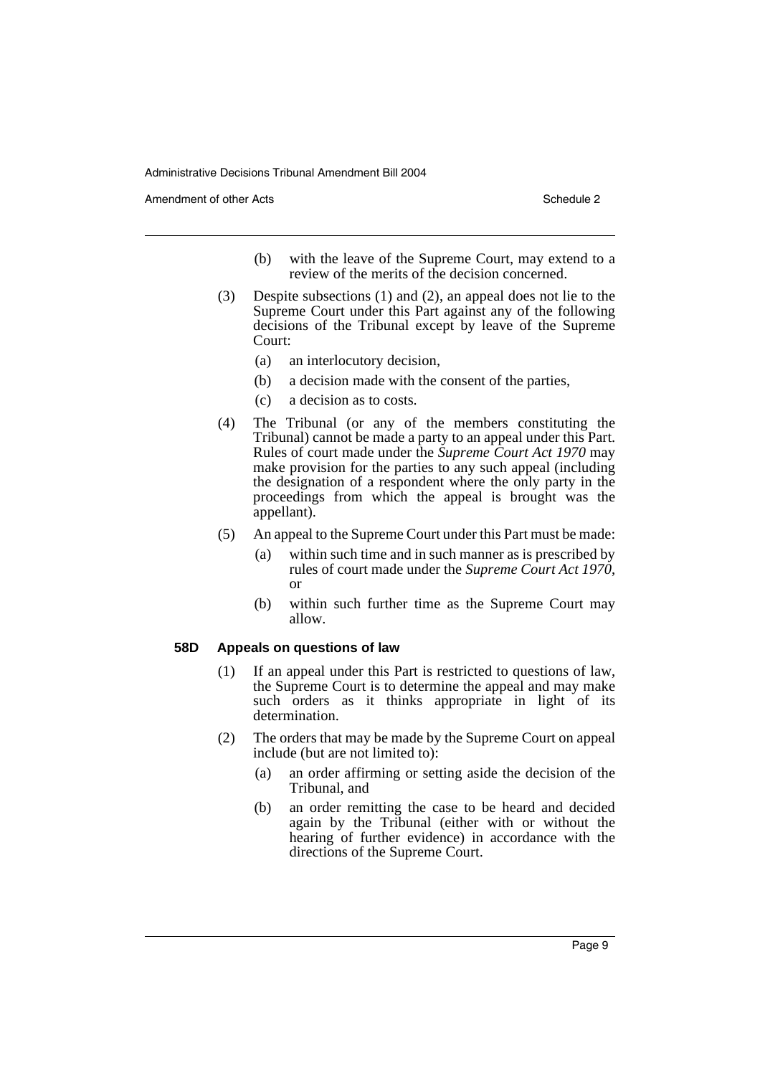Amendment of other Acts **Schedule 2** and the 2

- (b) with the leave of the Supreme Court, may extend to a review of the merits of the decision concerned.
- (3) Despite subsections (1) and (2), an appeal does not lie to the Supreme Court under this Part against any of the following decisions of the Tribunal except by leave of the Supreme Court:
	- (a) an interlocutory decision,
	- (b) a decision made with the consent of the parties,
	- (c) a decision as to costs.
- (4) The Tribunal (or any of the members constituting the Tribunal) cannot be made a party to an appeal under this Part. Rules of court made under the *Supreme Court Act 1970* may make provision for the parties to any such appeal (including the designation of a respondent where the only party in the proceedings from which the appeal is brought was the appellant).
- (5) An appeal to the Supreme Court under this Part must be made:
	- (a) within such time and in such manner as is prescribed by rules of court made under the *Supreme Court Act 1970*, or
	- (b) within such further time as the Supreme Court may allow.

#### **58D Appeals on questions of law**

- (1) If an appeal under this Part is restricted to questions of law, the Supreme Court is to determine the appeal and may make such orders as it thinks appropriate in light of its determination.
- (2) The orders that may be made by the Supreme Court on appeal include (but are not limited to):
	- (a) an order affirming or setting aside the decision of the Tribunal, and
	- (b) an order remitting the case to be heard and decided again by the Tribunal (either with or without the hearing of further evidence) in accordance with the directions of the Supreme Court.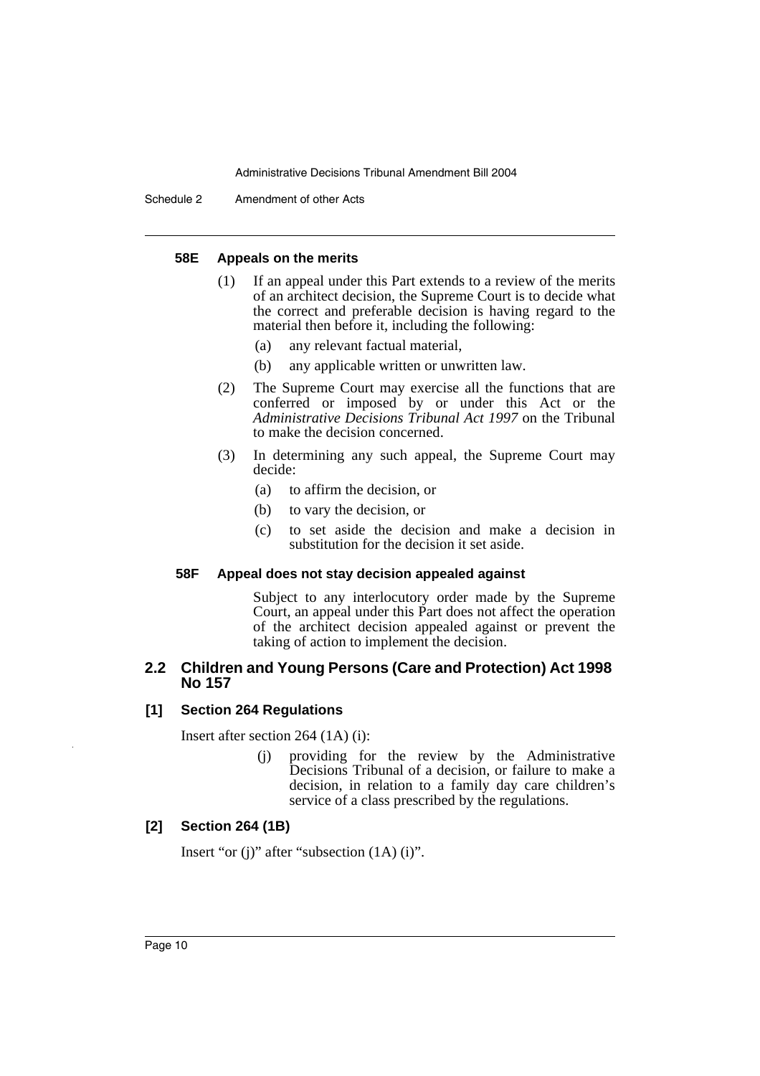Schedule 2 Amendment of other Acts

#### **58E Appeals on the merits**

- (1) If an appeal under this Part extends to a review of the merits of an architect decision, the Supreme Court is to decide what the correct and preferable decision is having regard to the material then before it, including the following:
	- (a) any relevant factual material,
	- (b) any applicable written or unwritten law.
- (2) The Supreme Court may exercise all the functions that are conferred or imposed by or under this Act or the *Administrative Decisions Tribunal Act 1997* on the Tribunal to make the decision concerned.
- (3) In determining any such appeal, the Supreme Court may decide:
	- (a) to affirm the decision, or
	- (b) to vary the decision, or
	- (c) to set aside the decision and make a decision in substitution for the decision it set aside.

#### **58F Appeal does not stay decision appealed against**

Subject to any interlocutory order made by the Supreme Court, an appeal under this Part does not affect the operation of the architect decision appealed against or prevent the taking of action to implement the decision.

#### **2.2 Children and Young Persons (Care and Protection) Act 1998 No 157**

#### **[1] Section 264 Regulations**

Insert after section 264 (1A) (i):

(j) providing for the review by the Administrative Decisions Tribunal of a decision, or failure to make a decision, in relation to a family day care children's service of a class prescribed by the regulations.

#### **[2] Section 264 (1B)**

Insert "or (j)" after "subsection (1A) (i)".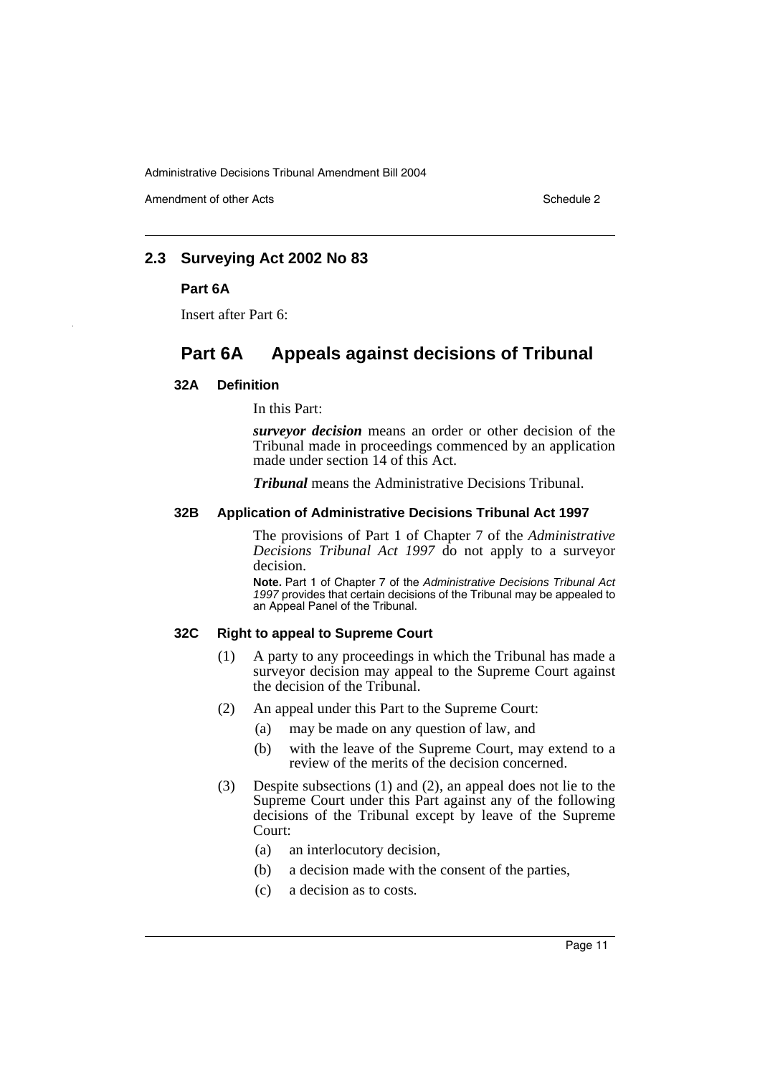Amendment of other Acts **Schedule 2** and the 2

# **2.3 Surveying Act 2002 No 83**

#### **Part 6A**

Insert after Part 6:

# **Part 6A Appeals against decisions of Tribunal**

#### **32A Definition**

In this Part:

*surveyor decision* means an order or other decision of the Tribunal made in proceedings commenced by an application made under section 14 of this Act.

*Tribunal* means the Administrative Decisions Tribunal.

#### **32B Application of Administrative Decisions Tribunal Act 1997**

The provisions of Part 1 of Chapter 7 of the *Administrative Decisions Tribunal Act 1997* do not apply to a surveyor decision.

**Note.** Part 1 of Chapter 7 of the *Administrative Decisions Tribunal Act 1997* provides that certain decisions of the Tribunal may be appealed to an Appeal Panel of the Tribunal.

#### **32C Right to appeal to Supreme Court**

- (1) A party to any proceedings in which the Tribunal has made a surveyor decision may appeal to the Supreme Court against the decision of the Tribunal.
- (2) An appeal under this Part to the Supreme Court:
	- (a) may be made on any question of law, and
	- (b) with the leave of the Supreme Court, may extend to a review of the merits of the decision concerned.
- (3) Despite subsections (1) and (2), an appeal does not lie to the Supreme Court under this Part against any of the following decisions of the Tribunal except by leave of the Supreme Court:
	- (a) an interlocutory decision,
	- (b) a decision made with the consent of the parties,
	- (c) a decision as to costs.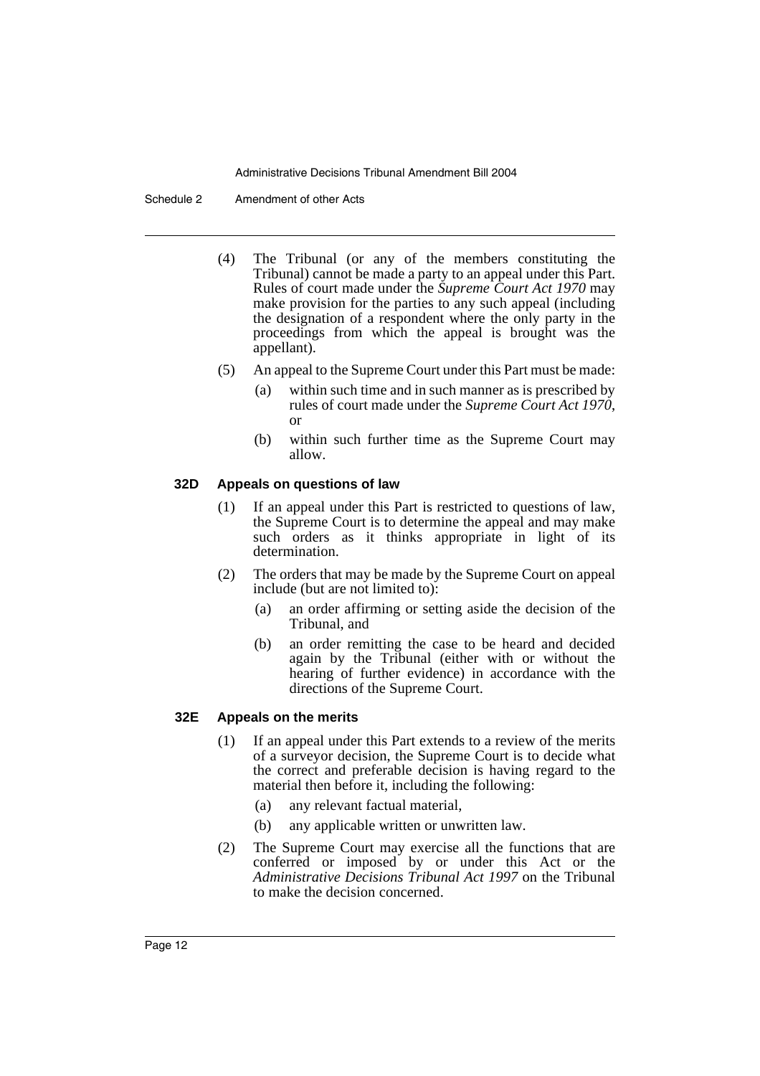Schedule 2 Amendment of other Acts

- (4) The Tribunal (or any of the members constituting the Tribunal) cannot be made a party to an appeal under this Part. Rules of court made under the *Supreme Court Act 1970* may make provision for the parties to any such appeal (including the designation of a respondent where the only party in the proceedings from which the appeal is brought was the appellant).
- (5) An appeal to the Supreme Court under this Part must be made:
	- (a) within such time and in such manner as is prescribed by rules of court made under the *Supreme Court Act 1970*, or
	- (b) within such further time as the Supreme Court may allow.

#### **32D Appeals on questions of law**

- (1) If an appeal under this Part is restricted to questions of law, the Supreme Court is to determine the appeal and may make such orders as it thinks appropriate in light of its determination.
- (2) The orders that may be made by the Supreme Court on appeal include (but are not limited to):
	- (a) an order affirming or setting aside the decision of the Tribunal, and
	- (b) an order remitting the case to be heard and decided again by the Tribunal (either with or without the hearing of further evidence) in accordance with the directions of the Supreme Court.

#### **32E Appeals on the merits**

- (1) If an appeal under this Part extends to a review of the merits of a surveyor decision, the Supreme Court is to decide what the correct and preferable decision is having regard to the material then before it, including the following:
	- (a) any relevant factual material,
	- (b) any applicable written or unwritten law.
- (2) The Supreme Court may exercise all the functions that are conferred or imposed by or under this Act or the *Administrative Decisions Tribunal Act 1997* on the Tribunal to make the decision concerned.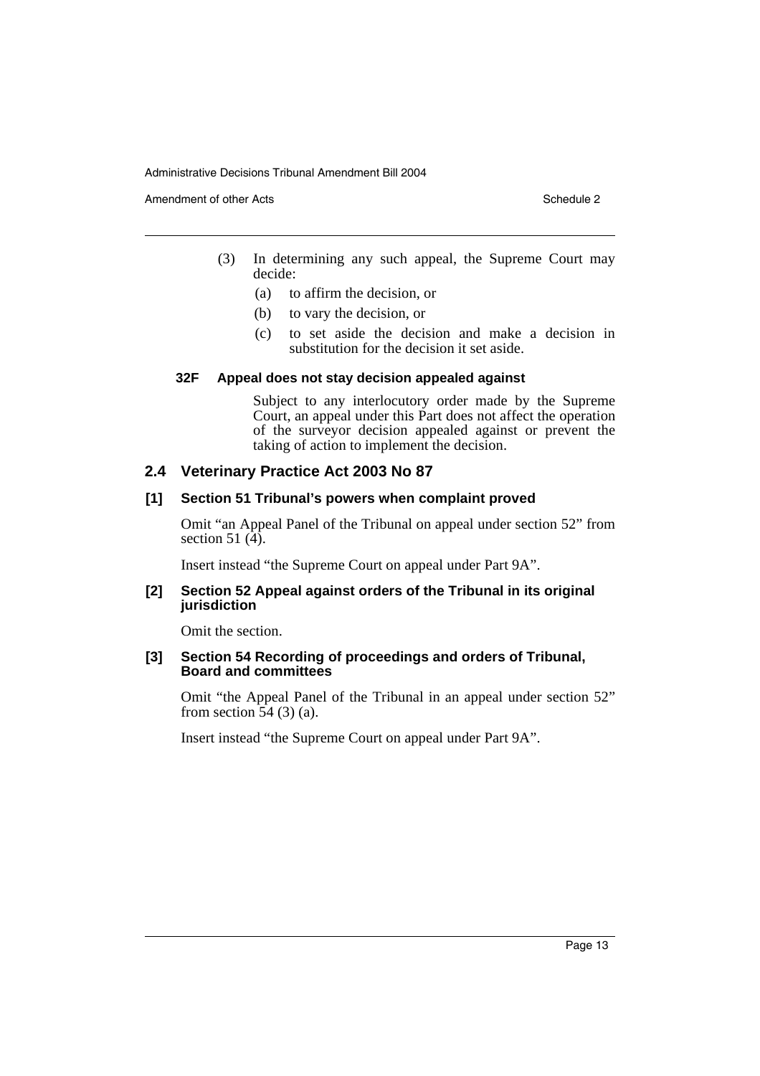Amendment of other Acts **Schedule 2** and the Acts Schedule 2

- (3) In determining any such appeal, the Supreme Court may decide:
	- (a) to affirm the decision, or
	- (b) to vary the decision, or
	- (c) to set aside the decision and make a decision in substitution for the decision it set aside.

#### **32F Appeal does not stay decision appealed against**

Subject to any interlocutory order made by the Supreme Court, an appeal under this Part does not affect the operation of the surveyor decision appealed against or prevent the taking of action to implement the decision.

## **2.4 Veterinary Practice Act 2003 No 87**

#### **[1] Section 51 Tribunal's powers when complaint proved**

Omit "an Appeal Panel of the Tribunal on appeal under section 52" from section 51 $(\hat{4})$ .

Insert instead "the Supreme Court on appeal under Part 9A".

#### **[2] Section 52 Appeal against orders of the Tribunal in its original jurisdiction**

Omit the section.

#### **[3] Section 54 Recording of proceedings and orders of Tribunal, Board and committees**

Omit "the Appeal Panel of the Tribunal in an appeal under section 52" from section  $\overline{54}$  (3) (a).

Insert instead "the Supreme Court on appeal under Part 9A".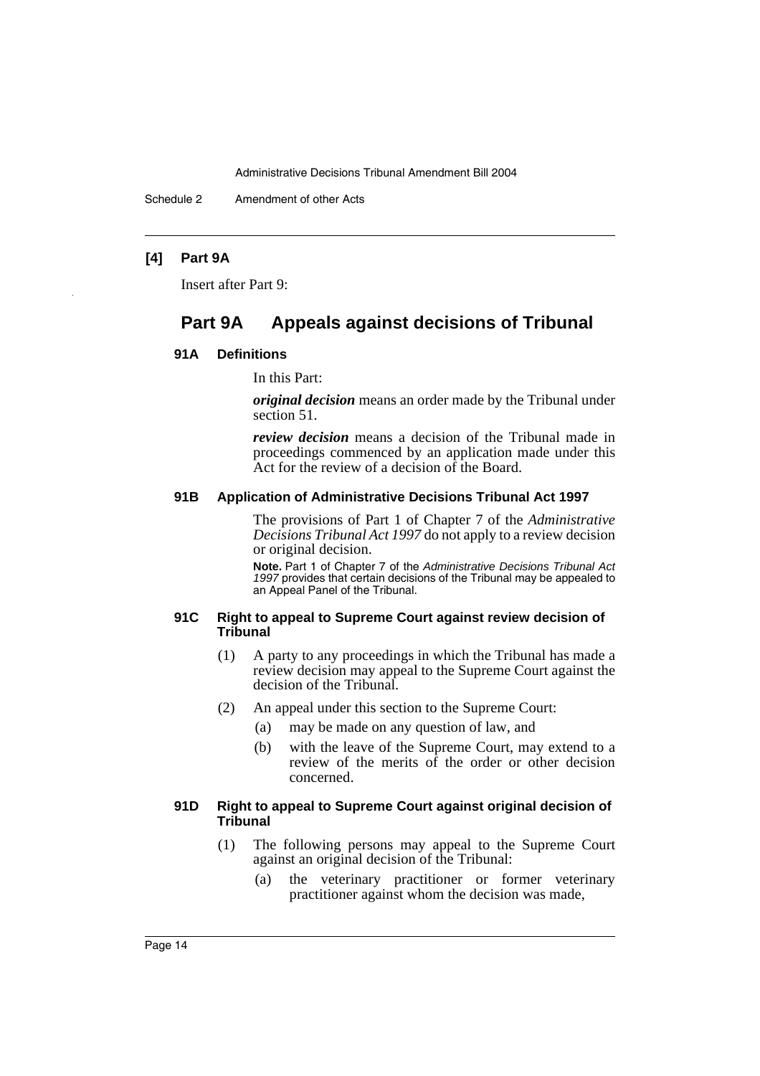Schedule 2 Amendment of other Acts

#### **[4] Part 9A**

Insert after Part 9:

# **Part 9A Appeals against decisions of Tribunal**

#### **91A Definitions**

In this Part:

*original decision* means an order made by the Tribunal under section 51.

*review decision* means a decision of the Tribunal made in proceedings commenced by an application made under this Act for the review of a decision of the Board.

# **91B Application of Administrative Decisions Tribunal Act 1997**

The provisions of Part 1 of Chapter 7 of the *Administrative Decisions Tribunal Act 1997* do not apply to a review decision or original decision.

**Note.** Part 1 of Chapter 7 of the *Administrative Decisions Tribunal Act 1997* provides that certain decisions of the Tribunal may be appealed to an Appeal Panel of the Tribunal.

#### **91C Right to appeal to Supreme Court against review decision of Tribunal**

- (1) A party to any proceedings in which the Tribunal has made a review decision may appeal to the Supreme Court against the decision of the Tribunal.
- (2) An appeal under this section to the Supreme Court:
	- (a) may be made on any question of law, and
	- (b) with the leave of the Supreme Court, may extend to a review of the merits of the order or other decision concerned.

#### **91D Right to appeal to Supreme Court against original decision of Tribunal**

- (1) The following persons may appeal to the Supreme Court against an original decision of the Tribunal:
	- (a) the veterinary practitioner or former veterinary practitioner against whom the decision was made,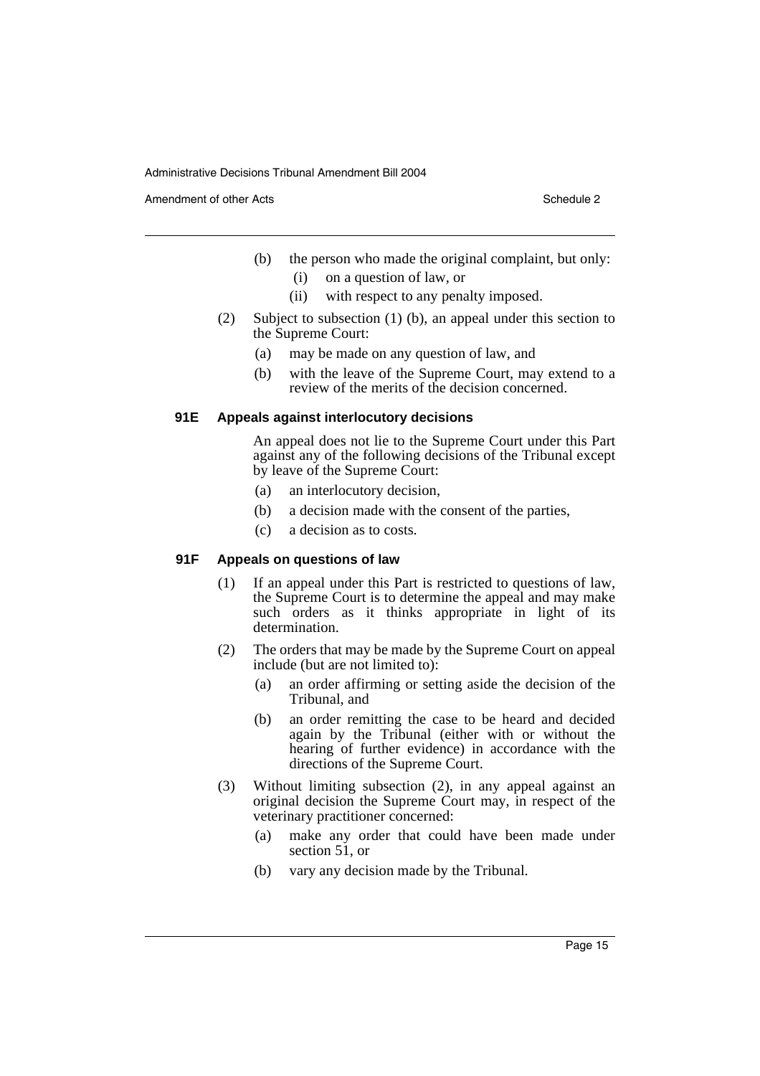Amendment of other Acts **Schedule 2** and the 2 and the 2 and 2 and 2 and 2 and 2 and 2 and 2 and 2 and 2 and 2 and 2 and 2 and 2 and 2 and 2 and 2 and 2 and 2 and 2 and 2 and 2 and 2 and 2 and 2 and 2 and 2 and 2 and 2 and

- (b) the person who made the original complaint, but only:
	- (i) on a question of law, or
	- (ii) with respect to any penalty imposed.
- (2) Subject to subsection (1) (b), an appeal under this section to the Supreme Court:
	- (a) may be made on any question of law, and
	- (b) with the leave of the Supreme Court, may extend to a review of the merits of the decision concerned.

## **91E Appeals against interlocutory decisions**

An appeal does not lie to the Supreme Court under this Part against any of the following decisions of the Tribunal except by leave of the Supreme Court:

- (a) an interlocutory decision,
- (b) a decision made with the consent of the parties,
- (c) a decision as to costs.

# **91F Appeals on questions of law**

- (1) If an appeal under this Part is restricted to questions of law, the Supreme Court is to determine the appeal and may make such orders as it thinks appropriate in light of its determination.
- (2) The orders that may be made by the Supreme Court on appeal include (but are not limited to):
	- (a) an order affirming or setting aside the decision of the Tribunal, and
	- (b) an order remitting the case to be heard and decided again by the Tribunal (either with or without the hearing of further evidence) in accordance with the directions of the Supreme Court.
- (3) Without limiting subsection (2), in any appeal against an original decision the Supreme Court may, in respect of the veterinary practitioner concerned:
	- (a) make any order that could have been made under section 51, or
	- (b) vary any decision made by the Tribunal.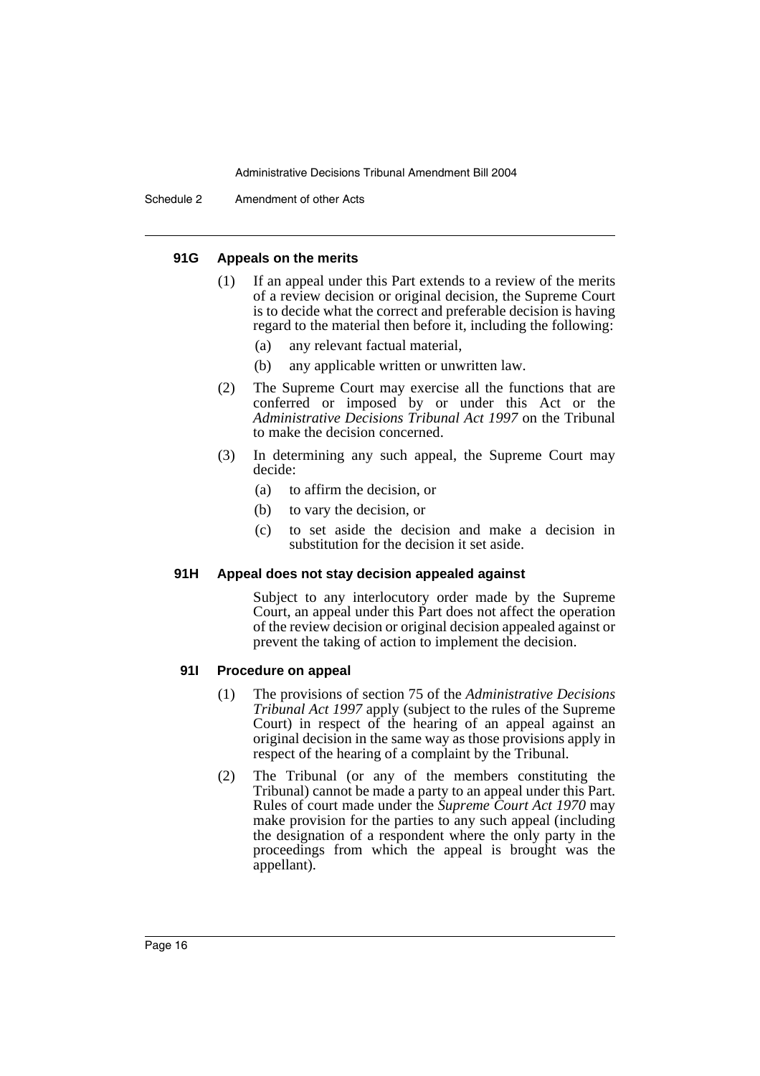#### **91G Appeals on the merits**

- (1) If an appeal under this Part extends to a review of the merits of a review decision or original decision, the Supreme Court is to decide what the correct and preferable decision is having regard to the material then before it, including the following:
	- (a) any relevant factual material,
	- (b) any applicable written or unwritten law.
- (2) The Supreme Court may exercise all the functions that are conferred or imposed by or under this Act or the *Administrative Decisions Tribunal Act 1997* on the Tribunal to make the decision concerned.
- (3) In determining any such appeal, the Supreme Court may decide:
	- (a) to affirm the decision, or
	- (b) to vary the decision, or
	- (c) to set aside the decision and make a decision in substitution for the decision it set aside.

#### **91H Appeal does not stay decision appealed against**

Subject to any interlocutory order made by the Supreme Court, an appeal under this Part does not affect the operation of the review decision or original decision appealed against or prevent the taking of action to implement the decision.

#### **91I Procedure on appeal**

- (1) The provisions of section 75 of the *Administrative Decisions Tribunal Act 1997* apply (subject to the rules of the Supreme Court) in respect of the hearing of an appeal against an original decision in the same way as those provisions apply in respect of the hearing of a complaint by the Tribunal.
- (2) The Tribunal (or any of the members constituting the Tribunal) cannot be made a party to an appeal under this Part. Rules of court made under the *Supreme Court Act 1970* may make provision for the parties to any such appeal (including the designation of a respondent where the only party in the proceedings from which the appeal is brought was the appellant).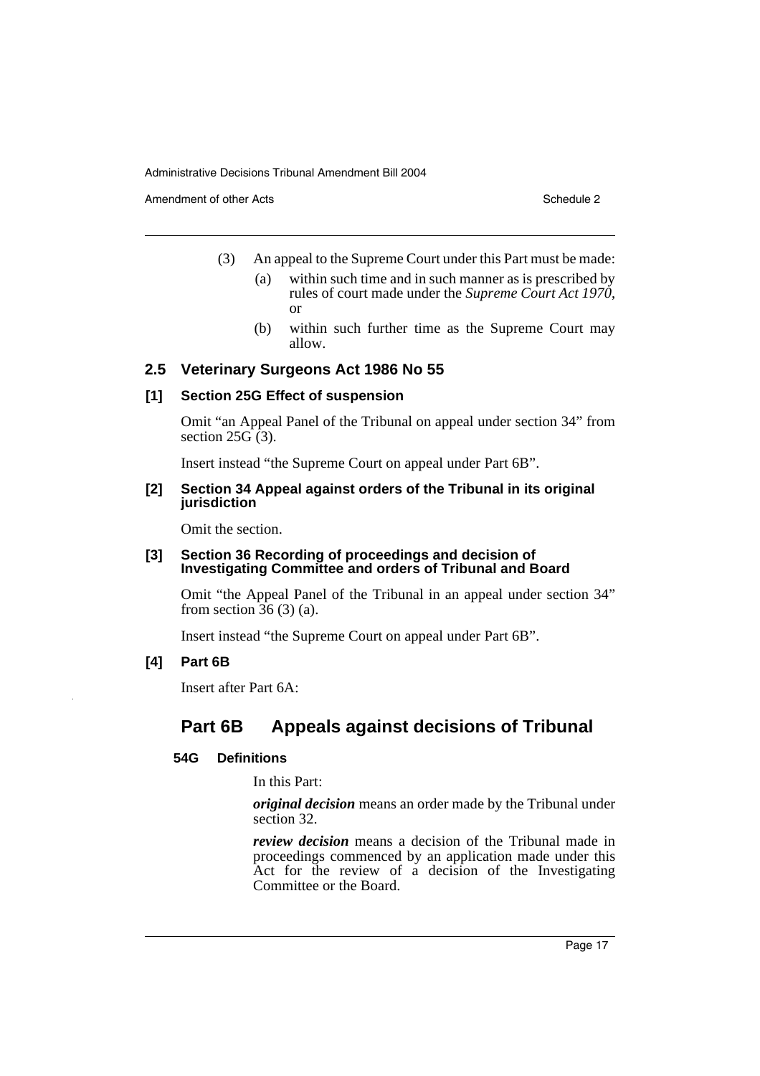Amendment of other Acts **Schedule 2** and the 2 and the 2 and 2 and 2 and 2 and 2 and 2 and 2 and 2 and 2 and 2 and 2 and 2 and 2 and 2 and 2 and 2 and 2 and 2 and 2 and 2 and 2 and 2 and 2 and 2 and 2 and 2 and 2 and 2 and

- (3) An appeal to the Supreme Court under this Part must be made:
	- (a) within such time and in such manner as is prescribed by rules of court made under the *Supreme Court Act 1970*, or
	- (b) within such further time as the Supreme Court may allow.

#### **2.5 Veterinary Surgeons Act 1986 No 55**

#### **[1] Section 25G Effect of suspension**

Omit "an Appeal Panel of the Tribunal on appeal under section 34" from section  $25\overline{G(3)}$ .

Insert instead "the Supreme Court on appeal under Part 6B".

#### **[2] Section 34 Appeal against orders of the Tribunal in its original jurisdiction**

Omit the section.

#### **[3] Section 36 Recording of proceedings and decision of Investigating Committee and orders of Tribunal and Board**

Omit "the Appeal Panel of the Tribunal in an appeal under section 34" from section  $36(3)(a)$ .

Insert instead "the Supreme Court on appeal under Part 6B".

**[4] Part 6B**

Insert after Part 6A:

# **Part 6B Appeals against decisions of Tribunal**

#### **54G Definitions**

In this Part:

*original decision* means an order made by the Tribunal under section 32.

*review decision* means a decision of the Tribunal made in proceedings commenced by an application made under this Act for the review of a decision of the Investigating Committee or the Board.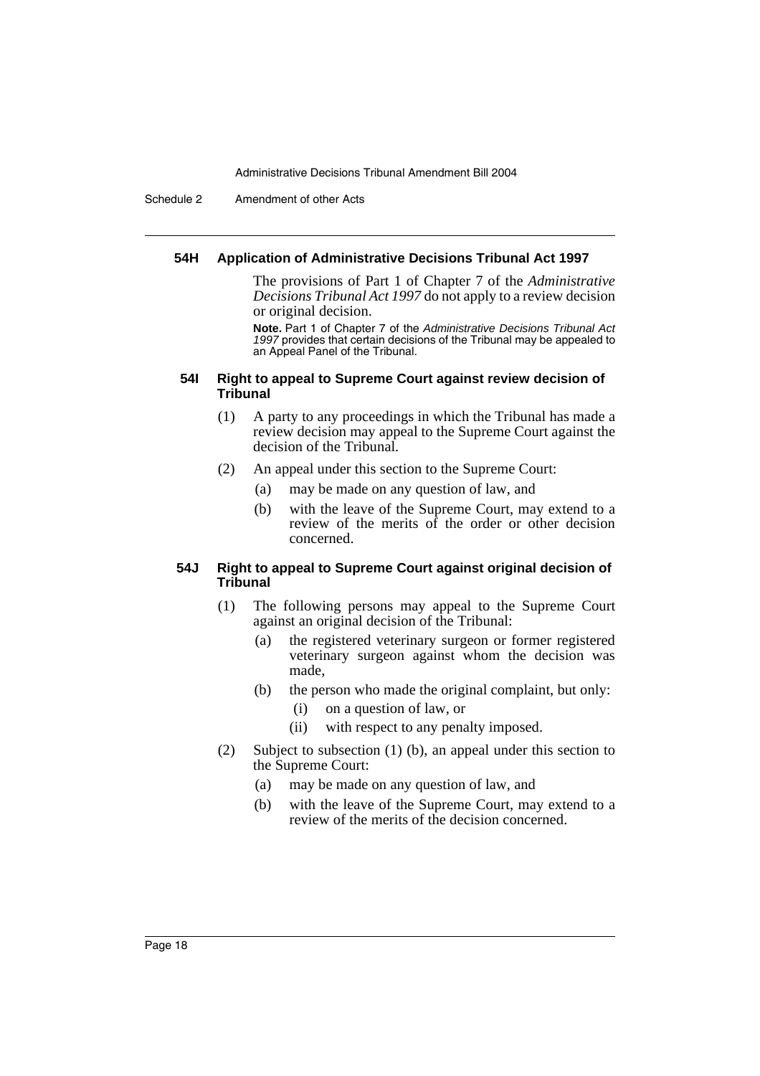Schedule 2 Amendment of other Acts

#### **54H Application of Administrative Decisions Tribunal Act 1997**

The provisions of Part 1 of Chapter 7 of the *Administrative Decisions Tribunal Act 1997* do not apply to a review decision or original decision.

**Note.** Part 1 of Chapter 7 of the *Administrative Decisions Tribunal Act 1997* provides that certain decisions of the Tribunal may be appealed to an Appeal Panel of the Tribunal.

#### **54I Right to appeal to Supreme Court against review decision of Tribunal**

- (1) A party to any proceedings in which the Tribunal has made a review decision may appeal to the Supreme Court against the decision of the Tribunal.
- (2) An appeal under this section to the Supreme Court:
	- (a) may be made on any question of law, and
	- (b) with the leave of the Supreme Court, may extend to a review of the merits of the order or other decision concerned.

#### **54J Right to appeal to Supreme Court against original decision of Tribunal**

- (1) The following persons may appeal to the Supreme Court against an original decision of the Tribunal:
	- (a) the registered veterinary surgeon or former registered veterinary surgeon against whom the decision was made,
	- (b) the person who made the original complaint, but only:
		- (i) on a question of law, or
		- (ii) with respect to any penalty imposed.
- (2) Subject to subsection (1) (b), an appeal under this section to the Supreme Court:
	- (a) may be made on any question of law, and
	- (b) with the leave of the Supreme Court, may extend to a review of the merits of the decision concerned.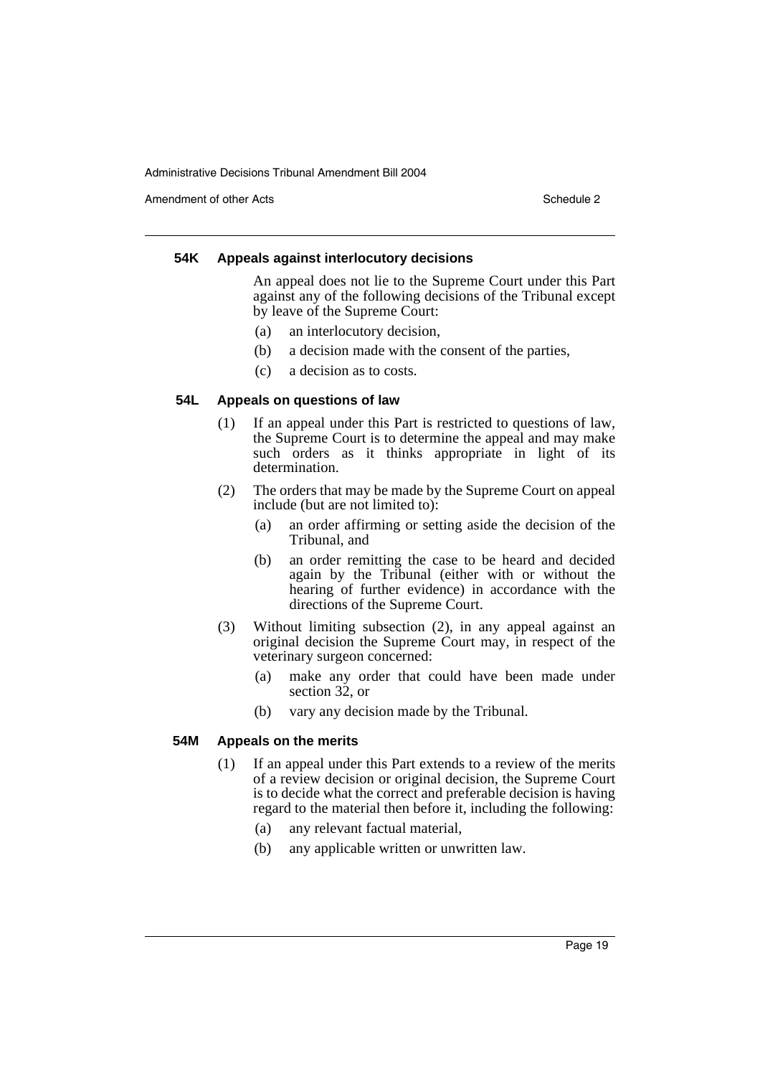Amendment of other Acts **Schedule 2** and the 2

#### **54K Appeals against interlocutory decisions**

An appeal does not lie to the Supreme Court under this Part against any of the following decisions of the Tribunal except by leave of the Supreme Court:

- (a) an interlocutory decision,
- (b) a decision made with the consent of the parties,
- (c) a decision as to costs.

#### **54L Appeals on questions of law**

- (1) If an appeal under this Part is restricted to questions of law, the Supreme Court is to determine the appeal and may make such orders as it thinks appropriate in light of its determination.
- (2) The orders that may be made by the Supreme Court on appeal include (but are not limited to):
	- (a) an order affirming or setting aside the decision of the Tribunal, and
	- (b) an order remitting the case to be heard and decided again by the Tribunal (either with or without the hearing of further evidence) in accordance with the directions of the Supreme Court.
- (3) Without limiting subsection (2), in any appeal against an original decision the Supreme Court may, in respect of the veterinary surgeon concerned:
	- (a) make any order that could have been made under section 32, or
	- (b) vary any decision made by the Tribunal.

#### **54M Appeals on the merits**

- (1) If an appeal under this Part extends to a review of the merits of a review decision or original decision, the Supreme Court is to decide what the correct and preferable decision is having regard to the material then before it, including the following:
	- (a) any relevant factual material,
	- (b) any applicable written or unwritten law.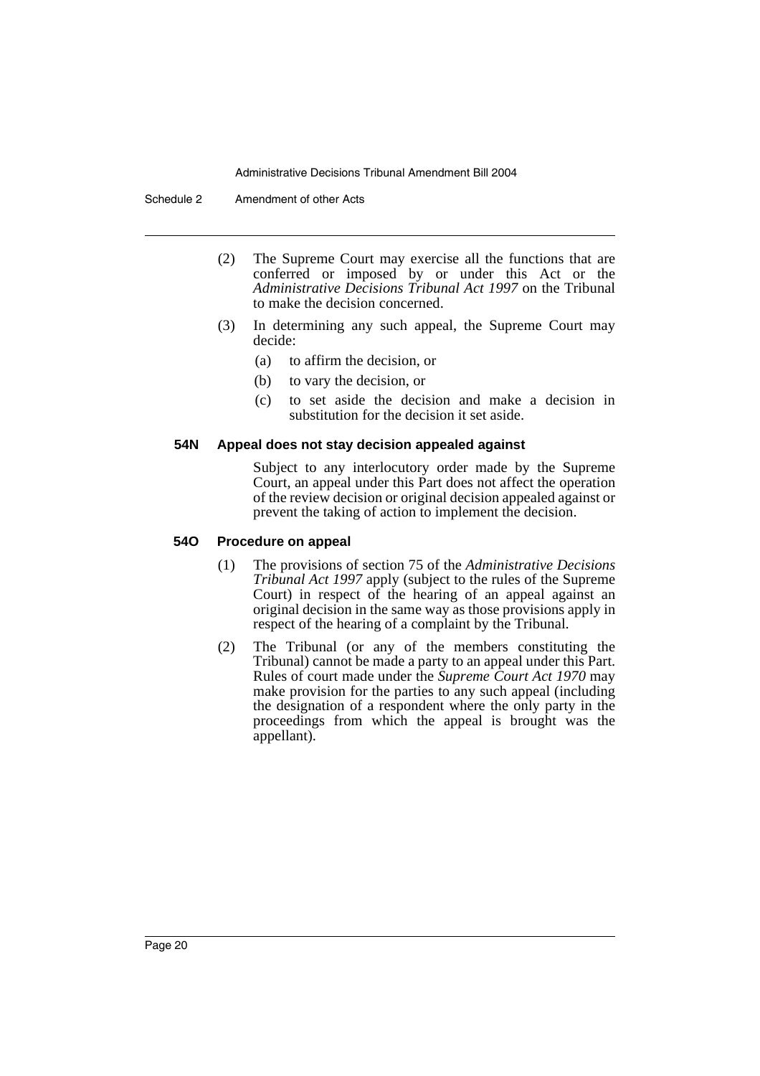Schedule 2 Amendment of other Acts

- (2) The Supreme Court may exercise all the functions that are conferred or imposed by or under this Act or the *Administrative Decisions Tribunal Act 1997* on the Tribunal to make the decision concerned.
- (3) In determining any such appeal, the Supreme Court may decide:
	- (a) to affirm the decision, or
	- (b) to vary the decision, or
	- (c) to set aside the decision and make a decision in substitution for the decision it set aside.

#### **54N Appeal does not stay decision appealed against**

Subject to any interlocutory order made by the Supreme Court, an appeal under this Part does not affect the operation of the review decision or original decision appealed against or prevent the taking of action to implement the decision.

#### **54O Procedure on appeal**

- (1) The provisions of section 75 of the *Administrative Decisions Tribunal Act 1997* apply (subject to the rules of the Supreme Court) in respect of the hearing of an appeal against an original decision in the same way as those provisions apply in respect of the hearing of a complaint by the Tribunal.
- (2) The Tribunal (or any of the members constituting the Tribunal) cannot be made a party to an appeal under this Part. Rules of court made under the *Supreme Court Act 1970* may make provision for the parties to any such appeal (including the designation of a respondent where the only party in the proceedings from which the appeal is brought was the appellant).